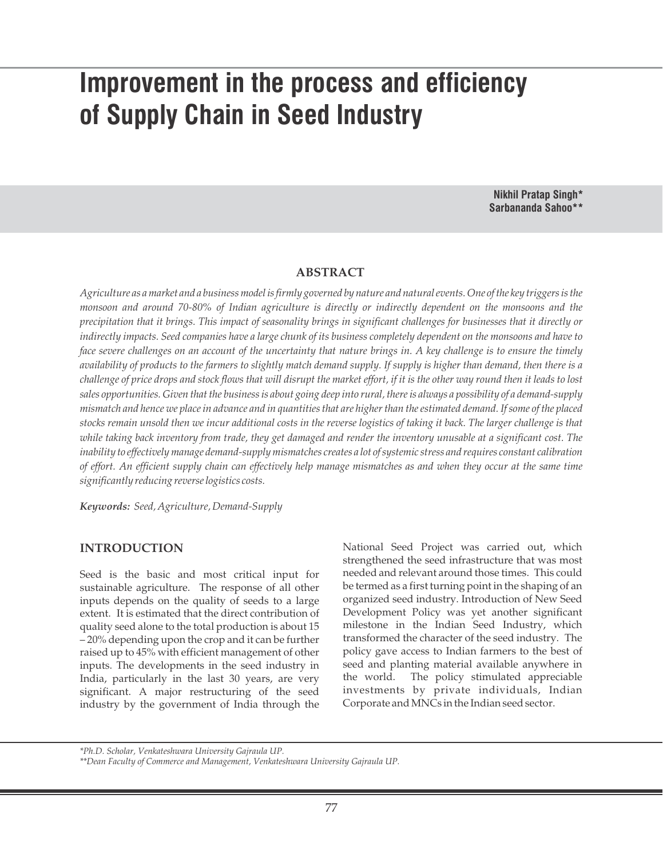# **Improvement in the process and efficiency of Supply Chain in Seed Industry**

**Nikhil Pratap Singh\* Sarbananda Sahoo\*\***

#### **ABSTRACT**

*Agriculture as a market and a business model is firmly governed by nature and natural events. One of the key triggers is the monsoon and around 70-80% of Indian agriculture is directly or indirectly dependent on the monsoons and the precipitation that it brings. This impact of seasonality brings in significant challenges for businesses that it directly or indirectly impacts. Seed companies have a large chunk of its business completely dependent on the monsoons and have to face severe challenges on an account of the uncertainty that nature brings in. A key challenge is to ensure the timely availability of products to the farmers to slightly match demand supply. If supply is higher than demand, then there is a challenge of price drops and stock flows that will disrupt the market effort, if it is the other way round then it leads to lost sales opportunities. Given that the business is about going deep into rural, there is always a possibility of a demand-supply mismatch and hence we place in advance and in quantities that are higher than the estimated demand. If some of the placed stocks remain unsold then we incur additional costs in the reverse logistics of taking it back. The larger challenge is that while taking back inventory from trade, they get damaged and render the inventory unusable at a significant cost. The inability to effectively manage demand-supply mismatches creates a lot of systemic stress and requires constant calibration of effort. An efficient supply chain can effectively help manage mismatches as and when they occur at the same time significantly reducing reverse logistics costs.*

*Keywords: Seed, Agriculture, Demand-Supply*

## **INTRODUCTION**

Seed is the basic and most critical input for sustainable agriculture. The response of all other inputs depends on the quality of seeds to a large extent. It is estimated that the direct contribution of quality seed alone to the total production is about 15 – 20% depending upon the crop and it can be further raised up to 45% with efficient management of other inputs. The developments in the seed industry in India, particularly in the last 30 years, are very significant. A major restructuring of the seed industry by the government of India through the

National Seed Project was carried out, which strengthened the seed infrastructure that was most needed and relevant around those times. This could be termed as a first turning point in the shaping of an organized seed industry. Introduction of New Seed Development Policy was yet another significant milestone in the Indian Seed Industry, which transformed the character of the seed industry. The policy gave access to Indian farmers to the best of seed and planting material available anywhere in the world. The policy stimulated appreciable investments by private individuals, Indian Corporate and MNCs in the Indian seed sector.

*<sup>\*</sup>Ph.D. Scholar, Venkateshwara University Gajraula UP.*

*<sup>\*\*</sup>Dean Faculty of Commerce and Management, Venkateshwara University Gajraula UP.*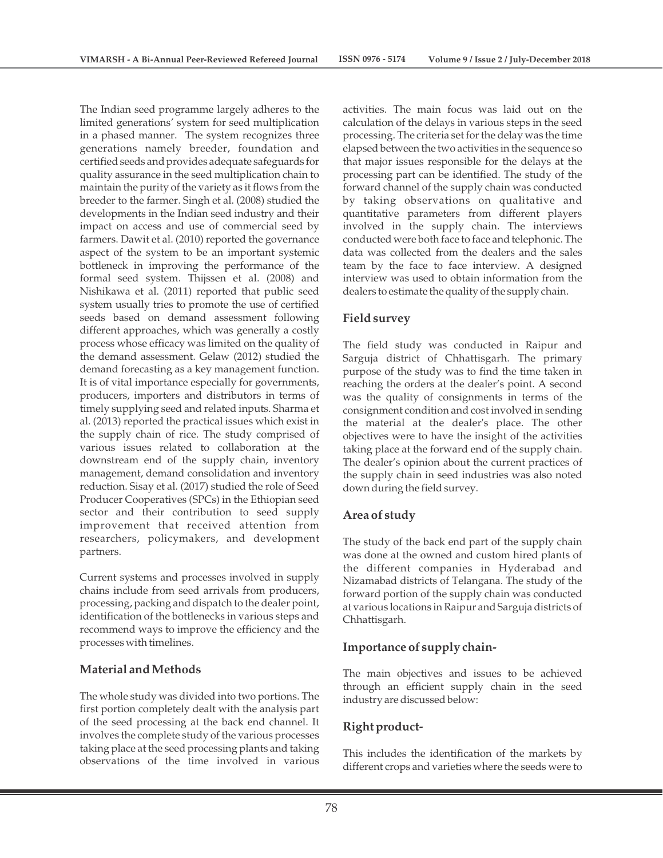The Indian seed programme largely adheres to the limited generations' system for seed multiplication in a phased manner. The system recognizes three generations namely breeder, foundation and certified seeds and provides adequate safeguards for quality assurance in the seed multiplication chain to maintain the purity of the variety as it flows from the breeder to the farmer. Singh et al. (2008) studied the developments in the Indian seed industry and their impact on access and use of commercial seed by farmers. Dawit et al. (2010) reported the governance aspect of the system to be an important systemic bottleneck in improving the performance of the formal seed system. Thijssen et al. (2008) and Nishikawa et al. (2011) reported that public seed system usually tries to promote the use of certified seeds based on demand assessment following different approaches, which was generally a costly process whose efficacy was limited on the quality of the demand assessment. Gelaw (2012) studied the demand forecasting as a key management function. It is of vital importance especially for governments, producers, importers and distributors in terms of timely supplying seed and related inputs. Sharma et al. (2013) reported the practical issues which exist in the supply chain of rice. The study comprised of various issues related to collaboration at the downstream end of the supply chain, inventory management, demand consolidation and inventory reduction. Sisay et al. (2017) studied the role of Seed Producer Cooperatives (SPCs) in the Ethiopian seed sector and their contribution to seed supply improvement that received attention from researchers, policymakers, and development partners.

Current systems and processes involved in supply chains include from seed arrivals from producers, processing, packing and dispatch to the dealer point, identification of the bottlenecks in various steps and recommend ways to improve the efficiency and the processes with timelines.

# **Material and Methods**

The whole study was divided into two portions. The first portion completely dealt with the analysis part of the seed processing at the back end channel. It involves the complete study of the various processes taking place at the seed processing plants and taking observations of the time involved in various

activities. The main focus was laid out on the calculation of the delays in various steps in the seed processing. The criteria set for the delay was the time elapsed between the two activities in the sequence so that major issues responsible for the delays at the processing part can be identified. The study of the forward channel of the supply chain was conducted by taking observations on qualitative and quantitative parameters from different players involved in the supply chain. The interviews conducted were both face to face and telephonic. The data was collected from the dealers and the sales team by the face to face interview. A designed interview was used to obtain information from the dealers to estimate the quality of the supply chain.

# **Field survey**

The field study was conducted in Raipur and Sarguja district of Chhattisgarh. The primary purpose of the study was to find the time taken in reaching the orders at the dealer's point. A second was the quality of consignments in terms of the consignment condition and cost involved in sending the material at the dealer's place. The other objectives were to have the insight of the activities taking place at the forward end of the supply chain. The dealer's opinion about the current practices of the supply chain in seed industries was also noted down during the field survey.

## **Area of study**

The study of the back end part of the supply chain was done at the owned and custom hired plants of the different companies in Hyderabad and Nizamabad districts of Telangana. The study of the forward portion of the supply chain was conducted at various locations in Raipur and Sarguja districts of Chhattisgarh.

# **Importance of supply chain-**

The main objectives and issues to be achieved through an efficient supply chain in the seed industry are discussed below:

# **Right product-**

This includes the identification of the markets by different crops and varieties where the seeds were to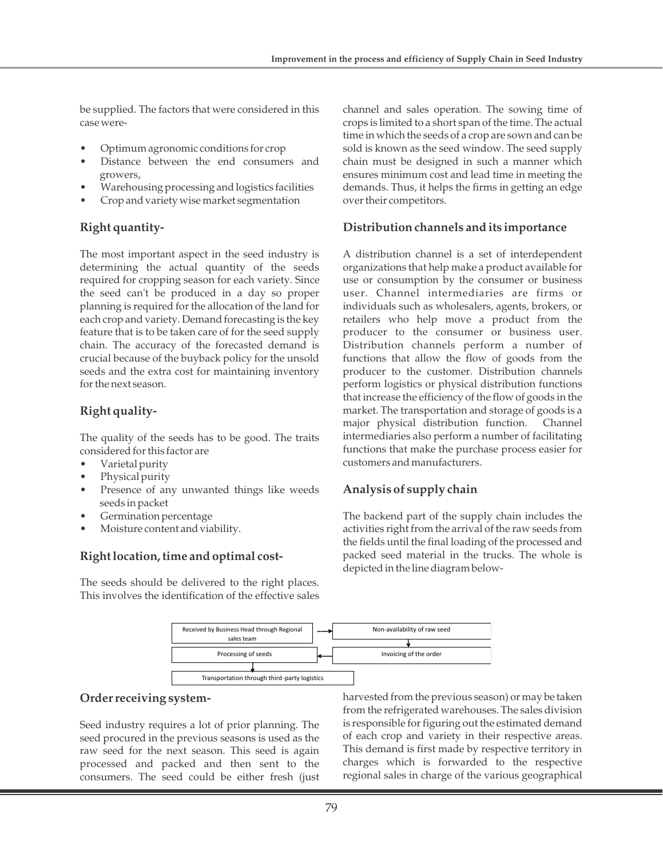be supplied. The factors that were considered in this case were-

- Optimum agronomic conditions for crop
- Distance between the end consumers and growers,
- Warehousing processing and logistics facilities
- Crop and variety wise market segmentation

# **Right quantity-**

The most important aspect in the seed industry is determining the actual quantity of the seeds required for cropping season for each variety. Since the seed can't be produced in a day so proper planning is required for the allocation of the land for each crop and variety. Demand forecasting is the key feature that is to be taken care of for the seed supply chain. The accuracy of the forecasted demand is crucial because of the buyback policy for the unsold seeds and the extra cost for maintaining inventory for the next season.

# **Right quality-**

The quality of the seeds has to be good. The traits considered for this factor are

- Varietal purity
- Physical purity
- Presence of any unwanted things like weeds seeds in packet
- Germination percentage
- Moisture content and viability.

# **Right location, time and optimal cost-**

The seeds should be delivered to the right places. This involves the identification of the effective sales channel and sales operation. The sowing time of crops is limited to a short span of the time. The actual time in which the seeds of a crop are sown and can be sold is known as the seed window. The seed supply chain must be designed in such a manner which ensures minimum cost and lead time in meeting the demands. Thus, it helps the firms in getting an edge over their competitors.

# **Distribution channels and its importance**

A distribution channel is a set of interdependent organizations that help make a product available for use or consumption by the consumer or business user. Channel intermediaries are firms or individuals such as wholesalers, agents, brokers, or retailers who help move a product from the producer to the consumer or business user. Distribution channels perform a number of functions that allow the flow of goods from the producer to the customer. Distribution channels perform logistics or physical distribution functions that increase the efficiency of the flow of goods in the market. The transportation and storage of goods is a major physical distribution function. Channel intermediaries also perform a number of facilitating functions that make the purchase process easier for customers and manufacturers.

# **Analysis of supply chain**

The backend part of the supply chain includes the activities right from the arrival of the raw seeds from the fields until the final loading of the processed and packed seed material in the trucks. The whole is depicted in the line diagram below-



## **Order receiving system-**

Seed industry requires a lot of prior planning. The seed procured in the previous seasons is used as the raw seed for the next season. This seed is again processed and packed and then sent to the consumers. The seed could be either fresh (just harvested from the previous season) or may be taken from the refrigerated warehouses. The sales division is responsible for figuring out the estimated demand of each crop and variety in their respective areas. This demand is first made by respective territory in charges which is forwarded to the respective regional sales in charge of the various geographical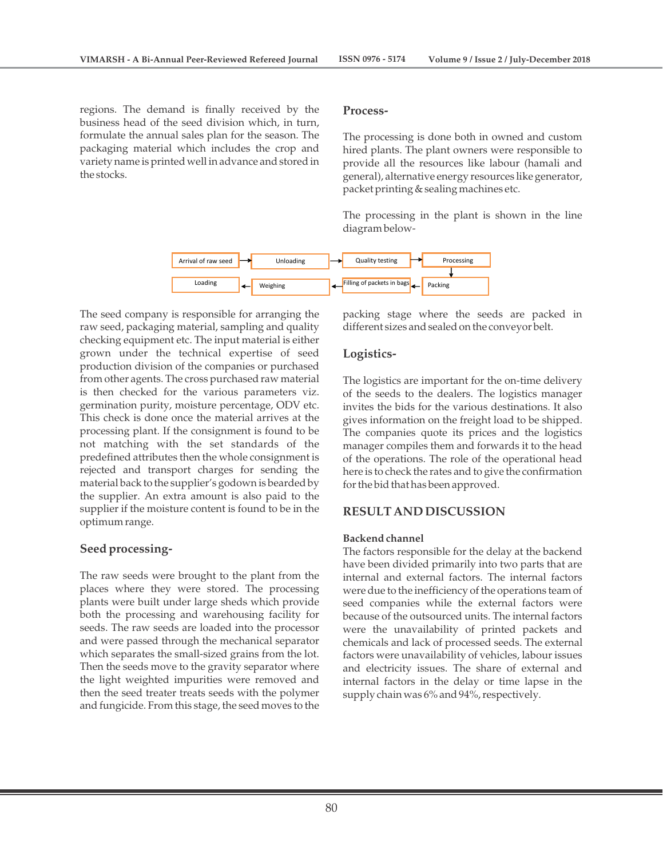regions. The demand is finally received by the business head of the seed division which, in turn, formulate the annual sales plan for the season. The packaging material which includes the crop and variety name is printed well in advance and stored in the stocks.

#### **Process-**

The processing is done both in owned and custom hired plants. The plant owners were responsible to provide all the resources like labour (hamali and general), alternative energy resources like generator, packet printing & sealing machines etc.

The processing in the plant is shown in the line diagram below-



The seed company is responsible for arranging the raw seed, packaging material, sampling and quality checking equipment etc. The input material is either grown under the technical expertise of seed production division of the companies or purchased from other agents. The cross purchased raw material is then checked for the various parameters viz. germination purity, moisture percentage, ODV etc. This check is done once the material arrives at the processing plant. If the consignment is found to be not matching with the set standards of the predefined attributes then the whole consignment is rejected and transport charges for sending the material back to the supplier's godown is bearded by the supplier. An extra amount is also paid to the supplier if the moisture content is found to be in the optimum range.

#### **Seed processing-**

The raw seeds were brought to the plant from the places where they were stored. The processing plants were built under large sheds which provide both the processing and warehousing facility for seeds. The raw seeds are loaded into the processor and were passed through the mechanical separator which separates the small-sized grains from the lot. Then the seeds move to the gravity separator where the light weighted impurities were removed and then the seed treater treats seeds with the polymer and fungicide. From this stage, the seed moves to the

packing stage where the seeds are packed in different sizes and sealed on the conveyor belt.

## **Logistics-**

The logistics are important for the on-time delivery of the seeds to the dealers. The logistics manager invites the bids for the various destinations. It also gives information on the freight load to be shipped. The companies quote its prices and the logistics manager compiles them and forwards it to the head of the operations. The role of the operational head here is to check the rates and to give the confirmation for the bid that has been approved.

## **RESULT AND DISCUSSION**

#### **Backend channel**

The factors responsible for the delay at the backend have been divided primarily into two parts that are internal and external factors. The internal factors were due to the inefficiency of the operations team of seed companies while the external factors were because of the outsourced units. The internal factors were the unavailability of printed packets and chemicals and lack of processed seeds. The external factors were unavailability of vehicles, labour issues and electricity issues. The share of external and internal factors in the delay or time lapse in the supply chain was 6% and 94%, respectively.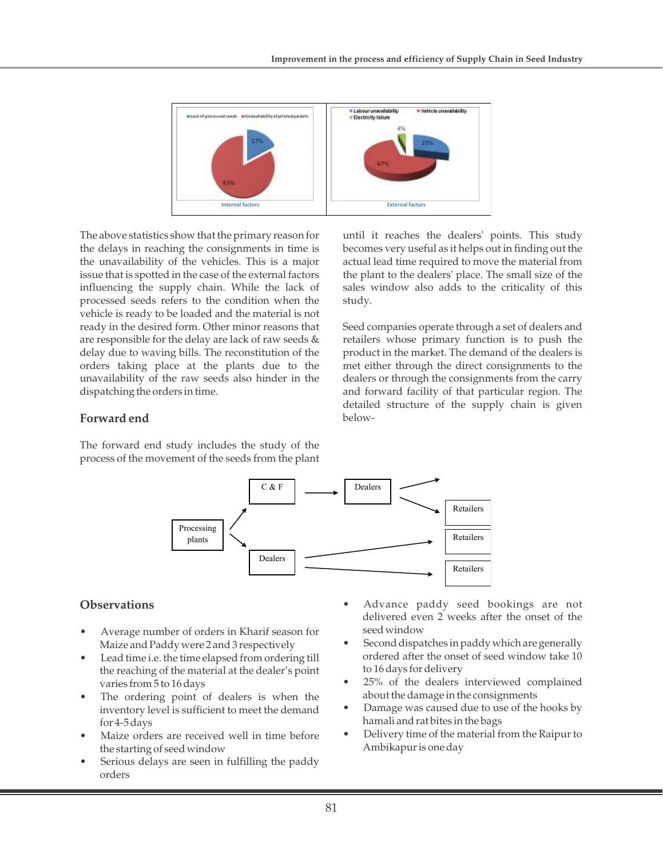

The above statistics show that the primary reason for the delays in reaching the consignments in time is the unavailability of the vehicles. This is a major issue that is spotted in the case of the external factors influencing the supply chain. While the lack of processed seeds refers to the condition when the vehicle is ready to be loaded and the material is not ready in the desired form. Other minor reasons that are responsible for the delay are lack of raw seeds & delay due to waving bills. The reconstitution of the orders taking place at the plants due to the unavailability of the raw seeds also hinder in the dispatching the orders in time.

until it reaches the dealers' points. This study becomes very useful as it helps out in finding out the actual lead time required to move the material from the plant to the dealers' place. The small size of the sales window also adds to the criticality of this study.

Seed companies operate through a set of dealers and retailers whose primary function is to push the product in the market. The demand of the dealers is met either through the direct consignments to the dealers or through the consignments from the carry and forward facility of that particular region. The detailed structure of the supply chain is given below-

# **Forward end**

The forward end study includes the study of the process of the movement of the seeds from the plant



# **Observations**

- Average number of orders in Kharif season for Maize and Paddy were 2 and 3 respectively
- Lead time i.e. the time elapsed from ordering till the reaching of the material at the dealer's point varies from 5 to 16 days
- The ordering point of dealers is when the inventory level is sufficient to meet the demand for 4-5 days
- Maize orders are received well in time before the starting of seed window
- Serious delays are seen in fulfilling the paddy orders
- Advance paddy seed bookings are not delivered even 2 weeks after the onset of the seed window
- Second dispatches in paddy which are generally ordered after the onset of seed window take 10 to 16 days for delivery
- 25% of the dealers interviewed complained about the damage in the consignments
- Damage was caused due to use of the hooks by hamali and rat bites in the bags
- Delivery time of the material from the Raipur to Ambikapur is one day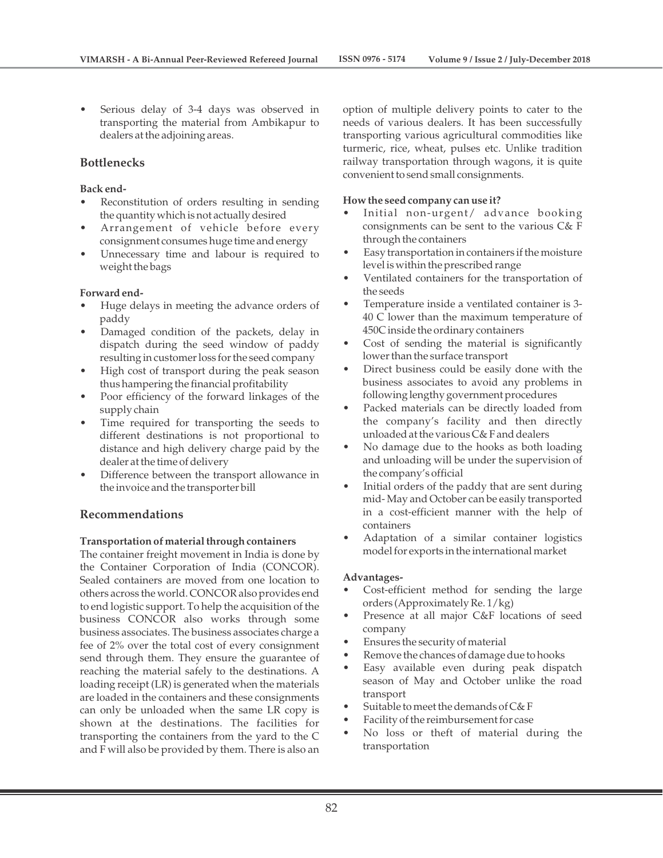• Serious delay of 3-4 days was observed in transporting the material from Ambikapur to dealers at the adjoining areas.

## **Bottlenecks**

#### **Back end-**

- Reconstitution of orders resulting in sending the quantity which is not actually desired
- Arrangement of vehicle before every consignment consumes huge time and energy
- Unnecessary time and labour is required to weight the bags

#### **Forward end-**

- Huge delays in meeting the advance orders of paddy
- Damaged condition of the packets, delay in dispatch during the seed window of paddy resulting in customer loss for the seed company
- High cost of transport during the peak season thus hampering the financial profitability
- Poor efficiency of the forward linkages of the supply chain
- Time required for transporting the seeds to different destinations is not proportional to distance and high delivery charge paid by the dealer at the time of delivery
- Difference between the transport allowance in the invoice and the transporter bill

#### **Recommendations**

#### **Transportation of material through containers**

The container freight movement in India is done by the Container Corporation of India (CONCOR). Sealed containers are moved from one location to others across the world. CONCOR also provides end to end logistic support. To help the acquisition of the business CONCOR also works through some business associates. The business associates charge a fee of 2% over the total cost of every consignment send through them. They ensure the guarantee of reaching the material safely to the destinations. A loading receipt (LR) is generated when the materials are loaded in the containers and these consignments can only be unloaded when the same LR copy is shown at the destinations. The facilities for transporting the containers from the yard to the C and F will also be provided by them. There is also an option of multiple delivery points to cater to the needs of various dealers. It has been successfully transporting various agricultural commodities like turmeric, rice, wheat, pulses etc. Unlike tradition railway transportation through wagons, it is quite convenient to send small consignments.

#### **How the seed company can use it?**

- Initial non-urgent/ advance booking consignments can be sent to the various C& F through the containers
- Easy transportation in containers if the moisture level is within the prescribed range
- Ventilated containers for the transportation of the seeds
- Temperature inside a ventilated container is 3- 40 C lower than the maximum temperature of 450C inside the ordinary containers
- Cost of sending the material is significantly lower than the surface transport
- Direct business could be easily done with the business associates to avoid any problems in following lengthy government procedures
- Packed materials can be directly loaded from the company's facility and then directly unloaded at the various C& F and dealers
- No damage due to the hooks as both loading and unloading will be under the supervision of the company's official
- Initial orders of the paddy that are sent during mid- May and October can be easily transported in a cost-efficient manner with the help of containers
- Adaptation of a similar container logistics model for exports in the international market

#### **Advantages-**

- Cost-efficient method for sending the large orders (Approximately Re. 1/kg)
- Presence at all major C&F locations of seed company
- Ensures the security of material
- Remove the chances of damage due to hooks
- Easy available even during peak dispatch season of May and October unlike the road transport
- Suitable to meet the demands of  $C& F$
- Facility of the reimbursement for case
- No loss or theft of material during the transportation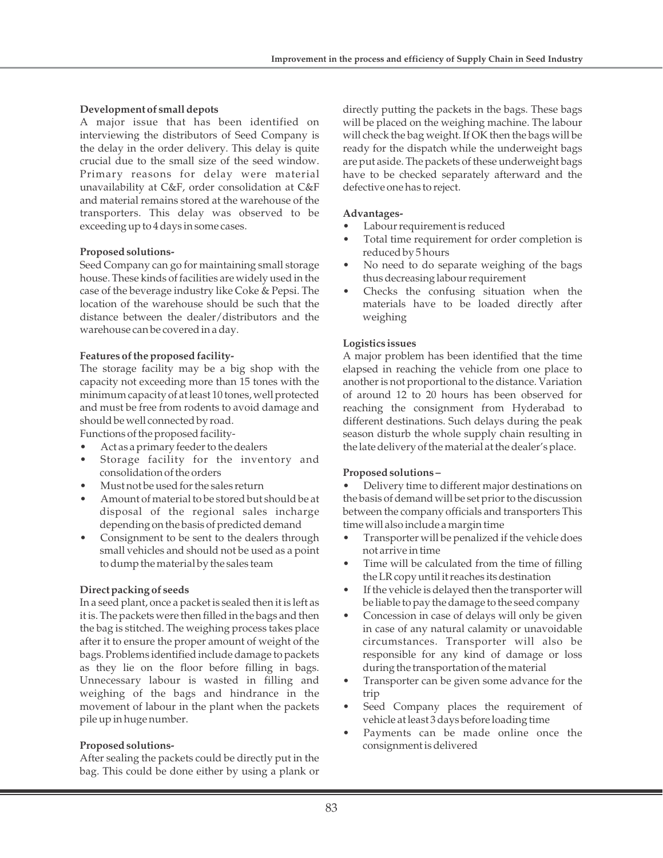## **Development of small depots**

A major issue that has been identified on interviewing the distributors of Seed Company is the delay in the order delivery. This delay is quite crucial due to the small size of the seed window. Primary reasons for delay were material unavailability at C&F, order consolidation at C&F and material remains stored at the warehouse of the transporters. This delay was observed to be exceeding up to 4 days in some cases.

## **Proposed solutions-**

Seed Company can go for maintaining small storage house. These kinds of facilities are widely used in the case of the beverage industry like Coke & Pepsi. The location of the warehouse should be such that the distance between the dealer/distributors and the warehouse can be covered in a day.

#### **Features of the proposed facility-**

The storage facility may be a big shop with the capacity not exceeding more than 15 tones with the minimum capacity of at least 10 tones, well protected and must be free from rodents to avoid damage and should be well connected by road.

Functions of the proposed facility-

- Act as a primary feeder to the dealers
- Storage facility for the inventory and consolidation of the orders
- Must not be used for the sales return
- Amount of material to be stored but should be at disposal of the regional sales incharge depending on the basis of predicted demand
- Consignment to be sent to the dealers through small vehicles and should not be used as a point to dump the material by the sales team

## **Direct packing of seeds**

In a seed plant, once a packet is sealed then it is left as it is. The packets were then filled in the bags and then the bag is stitched. The weighing process takes place after it to ensure the proper amount of weight of the bags. Problems identified include damage to packets as they lie on the floor before filling in bags. Unnecessary labour is wasted in filling and weighing of the bags and hindrance in the movement of labour in the plant when the packets pile up in huge number.

## **Proposed solutions-**

After sealing the packets could be directly put in the bag. This could be done either by using a plank or directly putting the packets in the bags. These bags will be placed on the weighing machine. The labour will check the bag weight. If OK then the bags will be ready for the dispatch while the underweight bags are put aside. The packets of these underweight bags have to be checked separately afterward and the defective one has to reject.

### **Advantages-**

- Labour requirement is reduced
- Total time requirement for order completion is reduced by 5 hours
- No need to do separate weighing of the bags thus decreasing labour requirement
- Checks the confusing situation when the materials have to be loaded directly after weighing

## **Logistics issues**

A major problem has been identified that the time elapsed in reaching the vehicle from one place to another is not proportional to the distance. Variation of around 12 to 20 hours has been observed for reaching the consignment from Hyderabad to different destinations. Such delays during the peak season disturb the whole supply chain resulting in the late delivery of the material at the dealer's place.

#### **Proposed solutions –**

• Delivery time to different major destinations on the basis of demand will be set prior to the discussion between the company officials and transporters This time will also include a margin time

- Transporter will be penalized if the vehicle does not arrive in time
- Time will be calculated from the time of filling the LR copy until it reaches its destination
- If the vehicle is delayed then the transporter will be liable to pay the damage to the seed company
- Concession in case of delays will only be given in case of any natural calamity or unavoidable circumstances. Transporter will also be responsible for any kind of damage or loss during the transportation of the material
- Transporter can be given some advance for the trip
- Seed Company places the requirement of vehicle at least 3 days before loading time
- Payments can be made online once the consignment is delivered